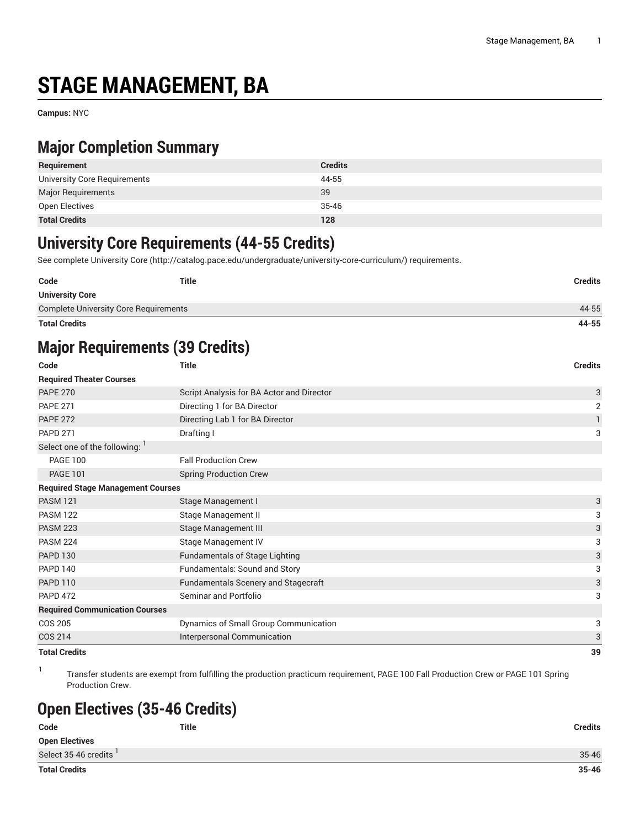# **STAGE MANAGEMENT, BA**

**Campus:** NYC

### **Major Completion Summary**

| Requirement                  | <b>Credits</b> |
|------------------------------|----------------|
| University Core Requirements | 44-55          |
| Major Requirements           | 39             |
| Open Electives               | 35-46          |
| <b>Total Credits</b>         | 128            |

#### **University Core Requirements (44-55 Credits)**

See complete [University](http://catalog.pace.edu/undergraduate/university-core-curriculum/) Core (<http://catalog.pace.edu/undergraduate/university-core-curriculum/>) requirements.

| Code                                         | <b>Title</b> | Credits |
|----------------------------------------------|--------------|---------|
| <b>University Core</b>                       |              |         |
| <b>Complete University Core Requirements</b> |              | 44-55   |
|                                              |              |         |

**Total Credits 44-55**

# **Major Requirements (39 Credits)**

| Code                                     | <b>Title</b>                              | <b>Credits</b>            |
|------------------------------------------|-------------------------------------------|---------------------------|
| <b>Required Theater Courses</b>          |                                           |                           |
| <b>PAPE 270</b>                          | Script Analysis for BA Actor and Director | 3                         |
| <b>PAPE 271</b>                          | Directing 1 for BA Director               | $\overline{2}$            |
| <b>PAPE 272</b>                          | Directing Lab 1 for BA Director           |                           |
| <b>PAPD 271</b>                          | Drafting I                                | 3                         |
| Select one of the following:             |                                           |                           |
| <b>PAGE 100</b>                          | <b>Fall Production Crew</b>               |                           |
| <b>PAGE 101</b>                          | <b>Spring Production Crew</b>             |                           |
| <b>Required Stage Management Courses</b> |                                           |                           |
| <b>PASM 121</b>                          | Stage Management I                        | 3                         |
| <b>PASM 122</b>                          | Stage Management II                       | 3                         |
| <b>PASM 223</b>                          | Stage Management III                      | $\ensuremath{\mathsf{3}}$ |
| <b>PASM 224</b>                          | Stage Management IV                       | 3                         |
| <b>PAPD 130</b>                          | <b>Fundamentals of Stage Lighting</b>     | $\ensuremath{\mathsf{3}}$ |
| <b>PAPD 140</b>                          | Fundamentals: Sound and Story             | 3                         |
| <b>PAPD 110</b>                          | Fundamentals Scenery and Stagecraft       | 3                         |
| <b>PAPD 472</b>                          | Seminar and Portfolio                     | 3                         |
| <b>Required Communication Courses</b>    |                                           |                           |
| <b>COS 205</b>                           | Dynamics of Small Group Communication     | 3                         |
| <b>COS 214</b>                           | Interpersonal Communication               | 3                         |
| <b>Total Credits</b>                     |                                           | 39                        |

1 Transfer students are exempt from fulfilling the production practicum requirement, PAGE 100 Fall Production Crew or PAGE 101 Spring Production Crew.

## **Open Electives (35-46 Credits)**

| Code                  | <b>Title</b> | <b>Credits</b> |
|-----------------------|--------------|----------------|
| <b>Open Electives</b> |              |                |
| Select 35-46 credits  |              | 35-46          |
| <b>Total Credits</b>  |              | $35 - 46$      |